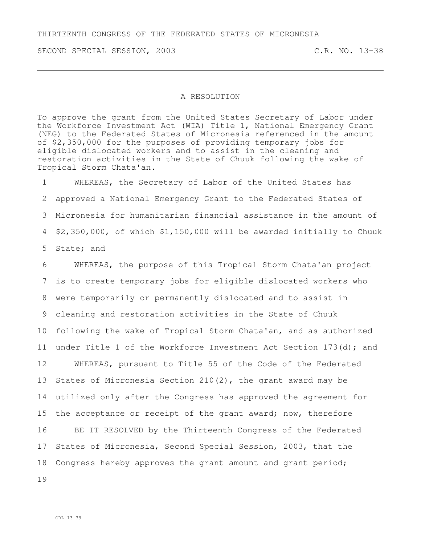## THIRTEENTH CONGRESS OF THE FEDERATED STATES OF MICRONESIA

SECOND SPECIAL SESSION, 2003 C.R. NO. 13-38

## A RESOLUTION

To approve the grant from the United States Secretary of Labor under the Workforce Investment Act (WIA) Title 1, National Emergency Grant (NEG) to the Federated States of Micronesia referenced in the amount of \$2,350,000 for the purposes of providing temporary jobs for eligible dislocated workers and to assist in the cleaning and restoration activities in the State of Chuuk following the wake of Tropical Storm Chata'an.

 WHEREAS, the Secretary of Labor of the United States has approved a National Emergency Grant to the Federated States of Micronesia for humanitarian financial assistance in the amount of \$2,350,000, of which \$1,150,000 will be awarded initially to Chuuk State; and

 WHEREAS, the purpose of this Tropical Storm Chata'an project is to create temporary jobs for eligible dislocated workers who were temporarily or permanently dislocated and to assist in cleaning and restoration activities in the State of Chuuk following the wake of Tropical Storm Chata'an, and as authorized under Title 1 of the Workforce Investment Act Section 173(d); and WHEREAS, pursuant to Title 55 of the Code of the Federated States of Micronesia Section 210(2), the grant award may be utilized only after the Congress has approved the agreement for 15 the acceptance or receipt of the grant award; now, therefore BE IT RESOLVED by the Thirteenth Congress of the Federated States of Micronesia, Second Special Session, 2003, that the Congress hereby approves the grant amount and grant period; 19